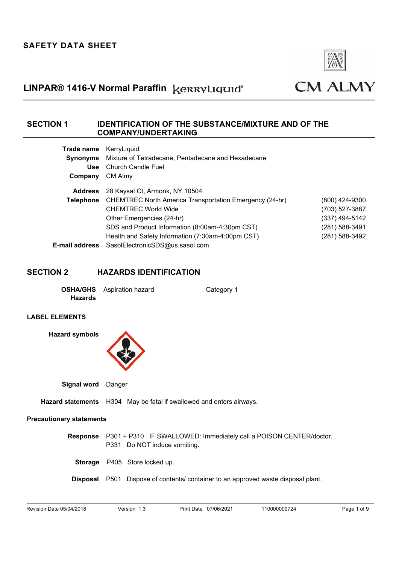

## **SECTION 1 IDENTIFICATION OF THE SUBSTANCE/MIXTURE AND OF THE COMPANY/UNDERTAKING**

| Trade name            | KerryLiquid                                                    |                |
|-----------------------|----------------------------------------------------------------|----------------|
| <b>Synonyms</b>       | Mixture of Tetradecane, Pentadecane and Hexadecane             |                |
| <b>Use</b>            | <b>Church Candle Fuel</b>                                      |                |
| Company               | CM Almy                                                        |                |
| <b>Address</b>        | 28 Kaysal Ct, Armonk, NY 10504                                 |                |
| Telephone             | <b>CHEMTREC North America Transportation Emergency (24-hr)</b> | (800) 424-9300 |
|                       | <b>CHEMTREC World Wide</b>                                     | (703) 527-3887 |
|                       | Other Emergencies (24-hr)                                      | (337) 494-5142 |
|                       | SDS and Product Information (8:00am-4:30pm CST)                | (281) 588-3491 |
|                       | Health and Safety Information (7:30am-4:00pm CST)              | (281) 588-3492 |
| <b>E-mail address</b> | SasolElectronicSDS@us.sasol.com                                |                |

### **SECTION 2 HAZARDS IDENTIFICATION**

**OSHA/GHS** Aspiration hazard Category 1 **Hazards**

#### **LABEL ELEMENTS**

**Hazard symbols**



**Signal word** Danger

**Hazard statements** H304 May be fatal if swallowed and enters airways.

### **Precautionary statements**

**Response** P301 + P310 IF SWALLOWED: Immediately call a POISON CENTER/doctor. P331 Do NOT induce vomiting.

**Storage** P405 Store locked up.

**Disposal** P501 Dispose of contents/ container to an approved waste disposal plant.

Revision Date 05/04/2018 Version 1.3 Print Date 07/06/2021 110000000724 Page 1 of 9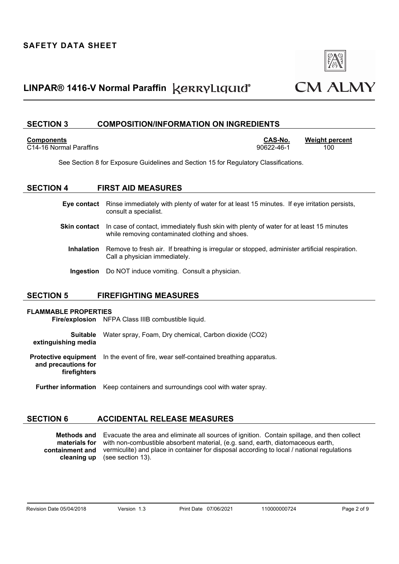

### **SECTION 3 COMPOSITION/INFORMATION ON INGREDIENTS**

#### **Components CAS-No. Weight percent**

C14-16 Normal Paraffins 90622-46-1 100

See Section 8 for Exposure Guidelines and Section 15 for Regulatory Classifications.

### **SECTION 4 FIRST AID MEASURES**

**Eye contact** Rinse immediately with plenty of water for at least 15 minutes. If eye irritation persists, consult a specialist.

- **Skin contact** In case of contact, immediately flush skin with plenty of water for at least 15 minutes while removing contaminated clothing and shoes.
	- **Inhalation** Remove to fresh air. If breathing is irregular or stopped, administer artificial respiration. Call a physician immediately.
	- **Ingestion** Do NOT induce vomiting. Consult a physician.

## **SECTION 5 FIREFIGHTING MEASURES**

### **FLAMMABLE PROPERTIES**

**Fire/explosion** NFPA Class IIIB combustible liquid.

**Suitable extinguishing media** Water spray, Foam, Dry chemical, Carbon dioxide (CO2)

**Protective equipment**  In the event of fire, wear self-contained breathing apparatus.

**and precautions for firefighters** 

**Further information** Keep containers and surroundings cool with water spray.

## **SECTION 6 ACCIDENTAL RELEASE MEASURES**

**Methods and**  Evacuate the area and eliminate all sources of ignition. Contain spillage, and then collect **materials for containment and cleaning up**  with non-combustible absorbent material, (e.g. sand, earth, diatomaceous earth, vermiculite) and place in container for disposal according to local / national regulations (see section 13).

Revision Date 05/04/2018 Version 1.3 Print Date 07/06/2021 110000000724 Page 2 of 9

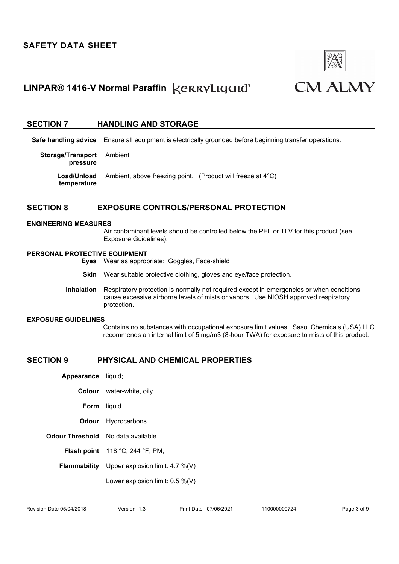

### **SECTION 7 HANDLING AND STORAGE**

**Safe handling advice** Ensure all equipment is electrically grounded before beginning transfer operations.

| <b>Storage/Transport</b> Ambient<br>pressure |                                                                                             |  |
|----------------------------------------------|---------------------------------------------------------------------------------------------|--|
| temperature                                  | <b>Load/Unload</b> Ambient, above freezing point. (Product will freeze at 4 <sup>°</sup> C) |  |

### **SECTION 8 EXPOSURE CONTROLS/PERSONAL PROTECTION**

#### **ENGINEERING MEASURES**

Air contaminant levels should be controlled below the PEL or TLV for this product (see Exposure Guidelines).

#### **PERSONAL PROTECTIVE EQUIPMENT**

- **Eyes** Wear as appropriate:Goggles, Face-shield
- **Skin** Wear suitable protective clothing, gloves and eye/face protection.
- **Inhalation** Respiratory protection is normally not required except in emergencies or when conditions cause excessive airborne levels of mists or vapors.Use NIOSH approved respiratory protection.

#### **EXPOSURE GUIDELINES**

Contains no substances with occupational exposure limit values., Sasol Chemicals (USA) LLC recommends an internal limit of 5 mg/m3 (8-hour TWA) for exposure to mists of this product.

#### **SECTION 9 PHYSICAL AND CHEMICAL PROPERTIES**

| Appearance liquid;                           |
|----------------------------------------------|
| <b>Colour</b> water-white, oily              |
| <b>Form</b> liquid                           |
| <b>Odour</b> Hydrocarbons                    |
| <b>Odour Threshold</b> No data available     |
| <b>Flash point</b> 118 °C, 244 °F; PM;       |
| Flammability Upper explosion limit: 4.7 %(V) |
| Lower explosion limit: $0.5\%$ (V)           |
|                                              |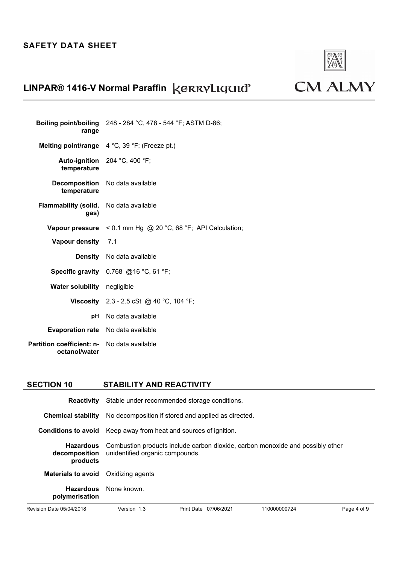

**CM ALMY** 

# **LINPAR® 1416-V Normal Paraffin**

| range                                          | Boiling point/boiling $248 - 284$ °C, 478 - 544 °F; ASTM D-86; |
|------------------------------------------------|----------------------------------------------------------------|
| Melting point/range                            | 4 °C, 39 °F; (Freeze pt.)                                      |
| temperature                                    | Auto-ignition 204 °C, 400 °F;                                  |
| <b>Decomposition</b><br>temperature            | No data available                                              |
| Flammability (solid, No data available<br>gas) |                                                                |
| Vapour pressure                                | < 0.1 mm Hg @ 20 °C, 68 °F; API Calculation;                   |
| Vapour density 7.1                             |                                                                |
|                                                |                                                                |
|                                                | <b>Density</b> No data available                               |
| <b>Specific gravity</b>                        | 0.768 @16 °C, 61 °F;                                           |
| <b>Water solubility</b>                        | negligible                                                     |
|                                                | <b>Viscosity</b> 2.3 - 2.5 cSt @ 40 °C, 104 °F;                |
| рH                                             | No data available                                              |
| <b>Evaporation rate</b>                        | No data available                                              |

## **SECTION 10 STABILITY AND REACTIVITY**

| <b>Reactivity</b>                             | Stable under recommended storage conditions.                                                                      |            |            |              |             |
|-----------------------------------------------|-------------------------------------------------------------------------------------------------------------------|------------|------------|--------------|-------------|
| <b>Chemical stability</b>                     | No decomposition if stored and applied as directed.                                                               |            |            |              |             |
| <b>Conditions to avoid</b>                    | Keep away from heat and sources of ignition.                                                                      |            |            |              |             |
| <b>Hazardous</b><br>decomposition<br>products | Combustion products include carbon dioxide, carbon monoxide and possibly other<br>unidentified organic compounds. |            |            |              |             |
| <b>Materials to avoid</b>                     | Oxidizing agents                                                                                                  |            |            |              |             |
| <b>Hazardous</b><br>polymerisation            | None known.                                                                                                       |            |            |              |             |
| Revision Date 05/04/2018                      | Version 1.3                                                                                                       | Print Date | 07/06/2021 | 110000000724 | Page 4 of 9 |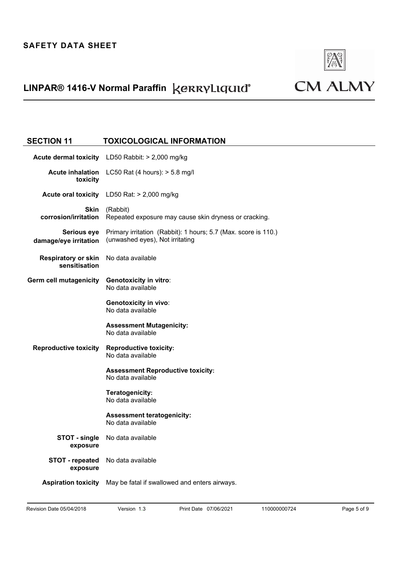

# **CM ALMY**

## **SECTION 11 TOXICOLOGICAL INFORMATION Acute dermal toxicity** LD50 Rabbit: > 2,000 mg/kg **Acute inhalation**  LC50 Rat (4 hours): > 5.8 mg/l **toxicity Acute oral toxicity** LD50 Rat: > 2,000 mg/kg **Skin corrosion/irritation**  (Rabbit) Repeated exposure may cause skin dryness or cracking. **Serious eye damage/eye irritation**  Primary irritation(Rabbit): 1 hours; 5.7 (Max. score is 110.) (unwashed eyes), Not irritating **Respiratory or skin sensitisation**  No data available **Germ cell mutagenicity Genotoxicity in vitro**: No data available **Genotoxicity in vivo**: No data available **Assessment Mutagenicity:**  No data available **Reproductive toxicity Reproductive toxicity:**  No data available **Assessment Reproductive toxicity:**  No data available **Teratogenicity:**  No data available **Assessment teratogenicity:**  No data available **STOT - single exposure**  No data available **STOT - repeated exposure**  No data available **Aspiration toxicity** May be fatal if swallowed and enters airways.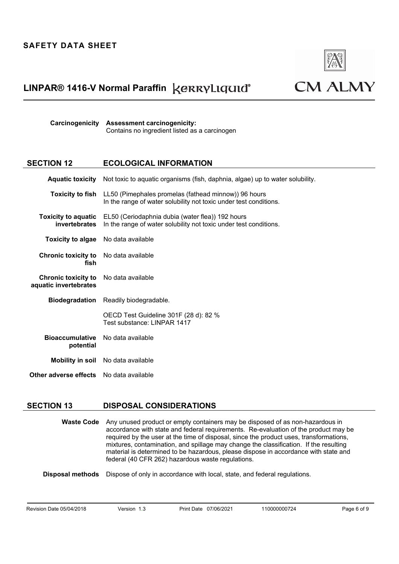

**CM ALMY** 

**Carcinogenicity Assessment carcinogenicity:** Contains no ingredient listed as a carcinogen

## **SECTION 12 ECOLOGICAL INFORMATION**

|                                                      | Aquatic toxicity Not toxic to aquatic organisms (fish, daphnia, algae) up to water solubility.                                                    |  |
|------------------------------------------------------|---------------------------------------------------------------------------------------------------------------------------------------------------|--|
|                                                      | <b>Toxicity to fish</b> LL50 (Pimephales promelas (fathead minnow)) 96 hours<br>In the range of water solubility not toxic under test conditions. |  |
| <b>Toxicity to aquatic</b><br><b>invertebrates</b>   | EL50 (Ceriodaphnia dubia (water flea)) 192 hours<br>In the range of water solubility not toxic under test conditions.                             |  |
| <b>Toxicity to algae</b>                             | No data available                                                                                                                                 |  |
| <b>Chronic toxicity to</b> No data available<br>fish |                                                                                                                                                   |  |
| <b>Chronic toxicity to</b><br>aquatic invertebrates  | No data available                                                                                                                                 |  |
| <b>Biodegradation</b>                                | Readily biodegradable.                                                                                                                            |  |
|                                                      | OECD Test Guideline 301F (28 d): 82 %<br>Test substance: LINPAR 1417                                                                              |  |
| <b>Bioaccumulative</b><br>potential                  | No data available                                                                                                                                 |  |
|                                                      | <b>Mobility in soil</b> No data available                                                                                                         |  |
| <b>Other adverse effects</b> No data available       |                                                                                                                                                   |  |

### **SECTION 13 DISPOSAL CONSIDERATIONS**

**Waste Code** Any unused product or empty containers may be disposed of as non-hazardous in accordance with state and federal requirements.Re-evaluation of the product may be required by the user at the time of disposal, since the product uses, transformations, mixtures, contamination, and spillage may change the classification.If the resulting material is determined to be hazardous, please dispose in accordance with state and federal (40 CFR 262) hazardous waste regulations.

**Disposal methods** Dispose of only in accordance with local, state, and federal regulations.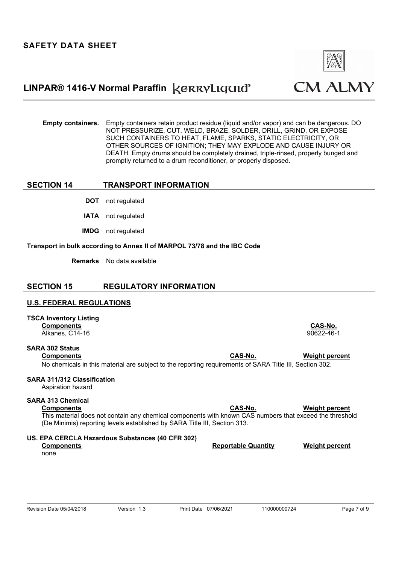

**Empty containers.** Empty containers retain product residue (liquid and/or vapor) and can be dangerous. DO NOT PRESSURIZE, CUT, WELD, BRAZE, SOLDER, DRILL, GRIND, OR EXPOSE SUCH CONTAINERS TO HEAT, FLAME, SPARKS, STATIC ELECTRICITY, OR OTHER SOURCES OF IGNITION; THEY MAY EXPLODE AND CAUSE INJURY OR DEATH. Empty drums should be completely drained, triple-rinsed, properly bunged and promptly returned to a drum reconditioner, or properly disposed.

## **SECTION 14 TRANSPORT INFORMATION**

- **DOT** not regulated
- **IATA** not regulated
- **IMDG** not regulated

#### **Transport in bulk according to Annex II of MARPOL 73/78 and the IBC Code**

**Remarks** No data available

### **SECTION 15 REGULATORY INFORMATION**

### **U.S. FEDERAL REGULATIONS**

**TSCA Inventory Listing Components CAS-No.** Alkanes, C14-16 90622-46-1

## **SARA 302 Status Components CAS-No. Weight percent**

### No chemicals in this material are subject to the reporting requirements of SARA Title III, Section 302.

## **SARA 311/312 Classification**

Aspiration hazard

### **SARA 313 Chemical**

**Components CAS-No. Weight percent**  This material does not contain any chemical components with known CAS numbers that exceed the threshold (De Minimis) reporting levels established by SARA Title III, Section 313.

### **US. EPA CERCLA Hazardous Substances (40 CFR 302)**

**Components Components Components Components Reportable Quantity** Weight percent none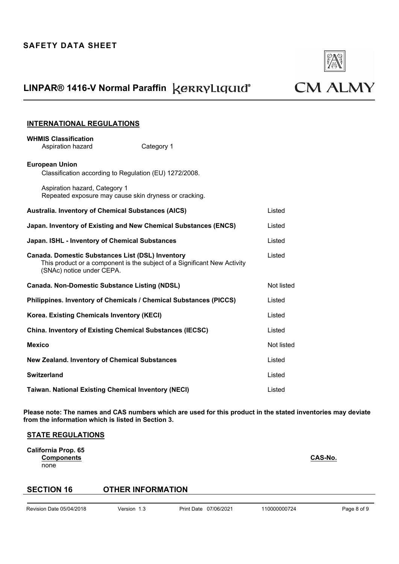

# **CM ALMY**

## **INTERNATIONAL REGULATIONS**

**WHMIS Classification**

| Aspiration hazard                                                                      | Category 1                                                               |            |
|----------------------------------------------------------------------------------------|--------------------------------------------------------------------------|------------|
| <b>European Union</b><br>Classification according to Regulation (EU) 1272/2008.        |                                                                          |            |
| Aspiration hazard, Category 1<br>Repeated exposure may cause skin dryness or cracking. |                                                                          |            |
| <b>Australia. Inventory of Chemical Substances (AICS)</b>                              |                                                                          | Listed     |
| Japan. Inventory of Existing and New Chemical Substances (ENCS)                        |                                                                          | Listed     |
| Japan. ISHL - Inventory of Chemical Substances                                         |                                                                          | Listed     |
| <b>Canada. Domestic Substances List (DSL) Inventory</b><br>(SNAc) notice under CEPA.   | This product or a component is the subject of a Significant New Activity | Listed     |
| <b>Canada. Non-Domestic Substance Listing (NDSL)</b>                                   |                                                                          | Not listed |
| Philippines. Inventory of Chemicals / Chemical Substances (PICCS)                      |                                                                          | Listed     |
| Korea. Existing Chemicals Inventory (KECI)                                             |                                                                          | Listed     |
| <b>China. Inventory of Existing Chemical Substances (IECSC)</b>                        |                                                                          | Listed     |
| <b>Mexico</b>                                                                          |                                                                          | Not listed |
| <b>New Zealand. Inventory of Chemical Substances</b>                                   |                                                                          | Listed     |
| <b>Switzerland</b>                                                                     |                                                                          | Listed     |
| <b>Taiwan. National Existing Chemical Inventory (NECI)</b>                             |                                                                          | Listed     |

**Please note: The names and CAS numbers which are used for this product in the stated inventories may deviate from the information which is listed in Section 3.** 

### **STATE REGULATIONS**

**California Prop. 65 Components** Components **CAS-No.** none

## **SECTION 16 OTHER INFORMATION**

Revision Date 05/04/2018 Version 1.3 Print Date 07/06/2021 110000000724 Page 8 of 9